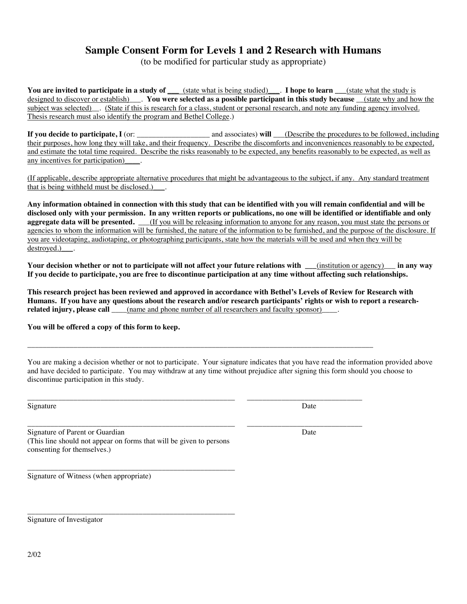## **Sample Consent Form for Levels 1 and 2 Research with Humans**

(to be modified for particular study as appropriate)

**You are invited to participate in a study of (state what is being studied). <b>I hope to learn** (state what the study is designed to discover or establish)\_\_\_. **You were selected as a possible participant in this study because** \_\_(state why and how the subject was selected) . (State if this is research for a class, student or personal research, and note any funding agency involved. Thesis research must also identify the program and Bethel College.)

**If you decide to participate, I** (or: \_\_\_\_\_\_\_\_\_\_\_\_\_\_\_\_\_\_\_ and associates) **will** \_\_\_(Describe the procedures to be followed, including their purposes, how long they will take, and their frequency. Describe the discomforts and inconveniences reasonably to be expected, and estimate the total time required. Describe the risks reasonably to be expected, any benefits reasonably to be expected, as well as any incentives for participation)  $\qquad$ .

(If applicable, describe appropriate alternative procedures that might be advantageous to the subject, if any. Any standard treatment that is being withheld must be disclosed.)\_\_\_.

**Any information obtained in connection with this study that can be identified with you will remain confidential and will be disclosed only with your permission. In any written reports or publications, no one will be identified or identifiable and only aggregate data will be presented.** \_\_\_(If you will be releasing information to anyone for any reason, you must state the persons or agencies to whom the information will be furnished, the nature of the information to be furnished, and the purpose of the disclosure. If you are videotaping, audiotaping, or photographing participants, state how the materials will be used and when they will be destroyed.) .

**Your decision whether or not to participate will not affect your future relations with \_\_\_**(institution or agency)\_\_\_ **in any way If you decide to participate, you are free to discontinue participation at any time without affecting such relationships.** 

**This research project has been reviewed and approved in accordance with Bethel's Levels of Review for Research with Humans. If you have any questions about the research and/or research participants' rights or wish to report a researchrelated injury, please call**  $\qquad$  (name and phone number of all researchers and faculty sponsor)

\_\_\_\_\_\_\_\_\_\_\_\_\_\_\_\_\_\_\_\_\_\_\_\_\_\_\_\_\_\_\_\_\_\_\_\_\_\_\_\_\_\_\_\_\_\_\_\_\_\_\_\_\_\_\_\_\_\_\_\_\_\_\_\_\_\_\_\_\_\_\_\_\_\_\_\_\_\_\_\_\_\_\_\_\_\_\_\_\_\_

\_\_\_\_\_\_\_\_\_\_\_\_\_\_\_\_\_\_\_\_\_\_\_\_\_\_\_\_\_\_\_\_\_\_\_\_\_\_\_\_\_\_\_\_\_\_\_\_\_\_\_\_\_\_ \_\_\_\_\_\_\_\_\_\_\_\_\_\_\_\_\_\_\_\_\_\_\_\_\_\_\_\_\_\_

\_\_\_\_\_\_\_\_\_\_\_\_\_\_\_\_\_\_\_\_\_\_\_\_\_\_\_\_\_\_\_\_\_\_\_\_\_\_\_\_\_\_\_\_\_\_\_\_\_\_\_\_\_\_ \_\_\_\_\_\_\_\_\_\_\_\_\_\_\_\_\_\_\_\_\_\_\_\_\_\_\_\_\_\_

**You will be offered a copy of this form to keep.** 

You are making a decision whether or not to participate. Your signature indicates that you have read the information provided above and have decided to participate. You may withdraw at any time without prejudice after signing this form should you choose to discontinue participation in this study.

Signature Date Date of the Date of the Date of the Date of the Date of the Date of the Date of the Date of the Date of the Date of the Date of the Date of the Date of the Date of the Date of the Date of the Date of the Dat

Signature of Parent or Guardian Date and Superior Contract of Parent or Guardian Date (This line should not appear on forms that will be given to persons consenting for themselves.)

\_\_\_\_\_\_\_\_\_\_\_\_\_\_\_\_\_\_\_\_\_\_\_\_\_\_\_\_\_\_\_\_\_\_\_\_\_\_\_\_\_\_\_\_\_\_\_\_\_\_\_\_\_\_

\_\_\_\_\_\_\_\_\_\_\_\_\_\_\_\_\_\_\_\_\_\_\_\_\_\_\_\_\_\_\_\_\_\_\_\_\_\_\_\_\_\_\_\_\_\_\_\_\_\_\_\_\_\_ Signature of Witness (when appropriate)

Signature of Investigator